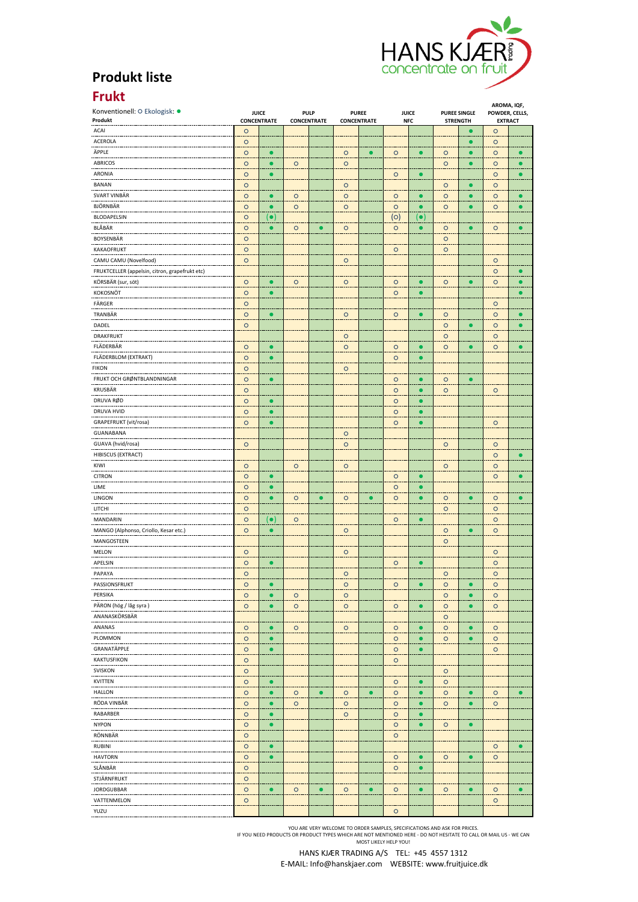

## **Produkt liste**

## **Frukt**

| Konventionell: O Ekologisk: ·                  | <b>JUICE</b>       |                        |                                   |           |                             |           | <b>JUICE</b> |             | <b>PUREE SINGLE</b> |           | AROMA, IQF,                      |           |
|------------------------------------------------|--------------------|------------------------|-----------------------------------|-----------|-----------------------------|-----------|--------------|-------------|---------------------|-----------|----------------------------------|-----------|
| Produkt                                        | <b>CONCENTRATE</b> |                        | <b>PULP</b><br><b>CONCENTRATE</b> |           | <b>PUREE</b><br>CONCENTRATE |           | <b>NFC</b>   |             | <b>STRENGTH</b>     |           | POWDER, CELLS,<br><b>EXTRACT</b> |           |
| ACAI                                           | $\circ$            |                        |                                   |           |                             |           |              |             |                     |           | $\circ$                          |           |
| <br>ACEROLA                                    | $\circ$            |                        |                                   |           |                             |           |              |             |                     | $\bullet$ | $\circ$                          |           |
| ÄPPLE                                          | $\circ$            | $\bullet$              |                                   |           | $\circ$                     | $\bullet$ | $\circ$      | $\bullet$   | $\circ$             | $\bullet$ | $\circ$                          | $\bullet$ |
| <b>ABRICOS</b>                                 | $\circ$            | $\bullet$              | $\circ$                           |           | $\circ$                     |           |              |             | $\circ$             | $\bullet$ | $\circ$                          |           |
| ARONIA                                         | $\circ$            |                        |                                   |           |                             |           | $\circ$      |             |                     |           | $\circ$                          |           |
| <b>BANAN</b>                                   | $\circ$            |                        |                                   |           | $\circ$                     |           |              |             | $\circ$             | $\bullet$ | $\circ$                          |           |
| SVART VINBÄR                                   | $\circ$            | O                      | $\circ$                           |           | $\circ$                     |           | $\circ$      |             | $\circ$             | $\bullet$ | $\circ$                          |           |
| BJÖRNBÄR                                       | $\circ$            | $\bullet$              | $\circ$                           |           | $\circ$                     |           | $\circ$      |             | $\circ$             | $\bullet$ | $\circ$                          |           |
| BLODAPELSIN                                    | $\circ$            | (•)                    |                                   |           |                             |           | $\circ$      | $(\bullet)$ |                     |           |                                  |           |
| BLÄBÄR                                         | $\circ$            | $\bullet$              | $\circ$                           | $\bullet$ | $\circ$                     |           | $\circ$      | $\bullet$   | $\circ$             | $\bullet$ | $\circ$                          | O         |
| BOYSENBÄR                                      | $\circ$            |                        |                                   |           |                             |           |              |             | $\circ$             |           |                                  |           |
| KAKAOFRUKT                                     | $\circ$            |                        |                                   |           |                             |           | $\circ$      |             | $\circ$             |           |                                  |           |
| CAMU CAMU (Novelfood)                          | $\circ$            |                        |                                   |           | $\circ$                     |           |              |             |                     |           | $\circ$                          |           |
| FRUKTCELLER (appelsin, citron, grapefrukt etc) |                    |                        |                                   |           |                             |           |              |             |                     |           | $\circ$                          |           |
| KÖRSBÄR (sur, söt)                             | $\circ$            | $\bullet$              | $\circ$                           |           | $\circ$                     |           | $\circ$      | г           | $\circ$             | $\bullet$ | $\circ$                          | G         |
| KOKOSNÖT                                       | $\circ$            | $\bullet$              |                                   |           |                             |           | $\circ$      |             |                     |           |                                  |           |
| FÄRGER                                         | $\circ$            |                        |                                   |           |                             |           |              |             |                     |           | $\circ$                          |           |
|                                                |                    |                        |                                   |           |                             |           |              |             |                     |           |                                  |           |
| TRANBÄR                                        | $\circ$            | $\bullet$              |                                   |           | $\circ$                     |           | $\circ$      | $\bullet$   | $\circ$             |           | $\circ$                          | $\bullet$ |
| DADEL                                          | $\circ$            |                        |                                   |           |                             |           |              |             | $\circ$             | $\bullet$ | $\circ$                          |           |
| <b>DRAKFRUKT</b>                               |                    |                        |                                   |           | $\circ$                     |           |              |             | $\circ$             |           | $\circ$                          |           |
| FLÄDERBÄR                                      | $\circ$            | $\bullet$              |                                   |           | $\circ$                     |           | $\circ$      | $\bullet$   | $\circ$             | $\bullet$ | $\circ$                          | ٠         |
| FLÄDERBLOM (EXTRAKT)                           | $\circ$            | $\bullet$              |                                   |           |                             |           | $\circ$      | $\bullet$   |                     |           |                                  |           |
| <b>FIKON</b><br>$\sim$                         | $\circ$            |                        |                                   |           | $\circ$                     |           |              |             |                     |           |                                  |           |
| FRUKT OCH GRØNTBLANDNINGAR                     | $\circ$            | $\bullet$              |                                   |           |                             |           | $\circ$      |             | $\circ$             |           |                                  |           |
| KRUSBÄR                                        | $\circ$            |                        |                                   |           |                             |           | $\circ$      | $\bullet$   | $\circ$             |           | $\circ$                          |           |
| DRUVA RØD                                      | $\circ$            | r                      |                                   |           |                             |           | $\circ$      |             |                     |           |                                  |           |
| DRUVA HVID                                     | $\circ$            | $\bullet$              |                                   |           |                             |           | $\circ$      |             |                     |           |                                  |           |
| GRAPEFRUKT (vit/rosa)                          | $\circ$            | $\bullet$              |                                   |           |                             |           | $\circ$      | $\bullet$   |                     |           | $\circ$                          |           |
| GUANABANA                                      |                    |                        |                                   |           | $\circ$                     |           |              |             |                     |           |                                  |           |
| GUAVA (hvid/rosa)                              | $\circ$            |                        |                                   |           | $\circ$                     |           |              |             | $\circ$             |           | $\circ$                          |           |
| HIBISCUS (EXTRACT)                             |                    |                        |                                   |           |                             |           |              |             |                     |           | $\circ$                          | Г         |
| KIWI                                           | $\circ$            |                        | $\circ$                           |           | $\circ$                     |           |              |             | $\circ$             |           | $\circ$                          |           |
| <b>CITRON</b>                                  | $\circ$            |                        |                                   |           |                             |           | $\circ$      |             |                     |           | $\circ$                          |           |
| LIME                                           | $\circ$            | $\bullet$              |                                   |           |                             |           | $\circ$      | $\bullet$   |                     |           |                                  |           |
| LINGON                                         |                    | $\bullet$              |                                   | $\bullet$ |                             | ●         |              | $\bullet$   |                     | 0         |                                  |           |
|                                                | $\circ$            |                        | $\circ$                           |           | $\circ$                     |           | $\circ$      |             | $\circ$             |           | $\circ$                          |           |
| LITCHI                                         | $\circ$            |                        |                                   |           |                             |           |              |             | $\circ$             |           | $\circ$                          |           |
| MANDARIN                                       | $\circ$            | $( \bullet )$          | $\circ$                           |           |                             |           | $\circ$      | $\bullet$   |                     |           | $\circ$                          |           |
| MANGO (Alphonso, Criollo, Kesar etc.)          | $\circ$            | $\bullet$              |                                   |           | $\circ$                     |           |              |             | $\circ$             |           | $\circ$                          |           |
| MANGOSTEEN                                     |                    |                        |                                   |           |                             |           |              |             | $\circ$             |           |                                  |           |
| MELON                                          | $\circ$            |                        |                                   |           | $\circ$                     |           |              |             |                     |           | $\circ$                          |           |
| APELSIN                                        | $\circ$            | О                      |                                   |           |                             |           | $\circ$      |             |                     |           | $\circ$                          |           |
| PAPAYA                                         | $\circ$            |                        |                                   |           | $\circ$                     |           |              |             | $\circ$             |           | $\circ$                          |           |
| PASSIONSFRUKT                                  | $\circ$            | $\bullet$              |                                   |           | $\circ$                     |           | $\circ$      | $\bullet$   | $\circ$             | $\bullet$ | $\circ$                          |           |
| PERSIKA                                        | $\circ$            | $\bullet$              | $\circ$                           |           | $\circ$                     |           |              |             | $\circ$             | $\bullet$ | $\circ$                          |           |
| PÄRON (hög / låg syra)                         | $\circ$            | $\bullet$              | $\circ$                           |           | $\circ$                     |           | $\circ$      |             | $\circ$             | $\bullet$ | $\circ$                          |           |
| ANANASKÖRSBÄR                                  |                    |                        |                                   |           |                             |           |              |             | $\circ$             |           |                                  |           |
| ANANAS                                         | $\circ$            | $\bullet$              | $\circ$                           |           | $\circ$                     |           | $\circ$      |             | $\circ$<br>÷.       | $\bullet$ | $\circ$                          |           |
| PLOMMON                                        | $\circ$            | г                      |                                   |           |                             |           | $\circ$      |             | $\circ$             |           | $\circ$                          |           |
| --------------<br>GRANATÄPPLE                  | $\circ$            | <br>$\bullet$          |                                   |           |                             |           | $\circ$      | $\bullet$   |                     |           | $\circ$                          |           |
| KAKTUSFIKON                                    | $\circ$            |                        |                                   |           |                             |           | $\circ$      |             |                     |           |                                  |           |
| <b>SVISKON</b>                                 | $\circ$            |                        |                                   |           |                             |           |              |             | $\circ$             |           |                                  |           |
| KVITTEN                                        | $\circ$            | ٠                      |                                   |           |                             |           | $\circ$      |             | $\circ$             |           |                                  |           |
| <b>HALLON</b>                                  | $\circ$            | $\bullet$              | $\circ$                           | $\bullet$ | $\circ$                     | $\bullet$ | $\circ$      | $\bullet$   |                     | $\bullet$ | $\circ$                          | $\bullet$ |
|                                                |                    |                        |                                   |           |                             |           |              | $\bullet$   | $\circ$             |           |                                  |           |
| RÖDA VINBÄR                                    | $\circ$            | $\bullet$<br>$\bullet$ | $\circ$                           |           | $\circ$                     |           | $\circ$      |             | $\circ$             | $\bullet$ | $\circ$                          |           |
| RABARBER<br>----------                         | $\circ$            |                        |                                   |           | $\circ$                     |           | $\circ$      |             |                     |           |                                  |           |
| <b>NYPON</b>                                   | $\circ$            | $\bullet$              |                                   |           |                             |           | $\circ$      | $\bullet$   | $\circ$             | $\bullet$ |                                  |           |
| RÖNNBÄR                                        | $\circ$            |                        |                                   |           |                             |           | $\circ$      |             |                     |           |                                  |           |
| RUBINI                                         | $\circ$            | $\bullet$              |                                   |           |                             |           |              |             |                     |           | $\circ$                          |           |
| <b>HAVTORN</b>                                 | $\circ$            | $\bullet$              |                                   |           |                             |           | $\circ$      | $\bullet$   | $\circ$             | $\bullet$ | $\circ$                          |           |
| SLÄNBÄR                                        | $\circ$            |                        |                                   |           |                             |           | $\circ$      | $\bullet$   |                     |           |                                  |           |
| STJÄRNFRUKT                                    | $\circ$            |                        |                                   |           |                             |           |              |             |                     |           |                                  |           |
| JORDGUBBAR                                     | $\circ$            | $\bullet$              | $\circ$                           | $\bullet$ | $\circ$                     | $\bullet$ | $\circ$      | $\bullet$   | $\circ$             | $\bullet$ | $\circ$                          | $\bullet$ |
| VATTENMELON                                    | $\circ$            |                        |                                   |           |                             |           |              |             |                     |           | $\circ$                          |           |
| YUZU                                           |                    |                        |                                   |           |                             |           | $\circ$      |             |                     |           |                                  |           |

YOU ARE VERY WELCOME TO ORDER SAMPLES, SPECIFICATIONS AND ASK FOR PRICES.<br>IF YOU NEED PRODUCTS OR PRODUCT TYPES WHICH ARE NOT MENTIONED HERE - DO NOT HESITATE TO CALL OR MAIL US - WE CAN<br>MOST LIKELY HELP YOU!

## HANS KJÆR TRADING A/S TEL: +45 4557 1312 E‐MAIL: Info@hanskjaer.com WEBSITE: www.fruitjuice.dk